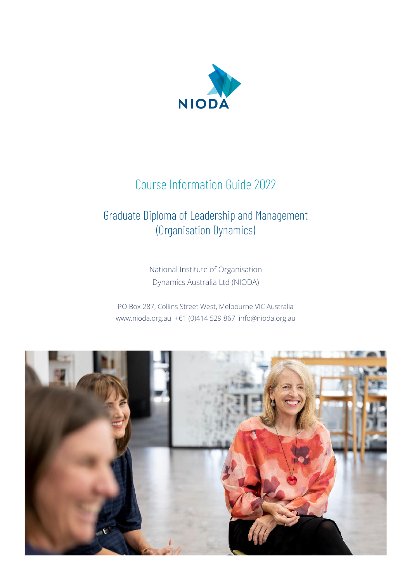

# Course Information Guide 2022

# Graduate Diploma of Leadership and Management (Organisation Dynamics)

National Institute of Organisation Dynamics Australia Ltd (NIODA)

PO Box 287, Collins Street West, Melbourne VIC Australia www.nioda.org.au +61 (0)414 529 867 info@nioda.org.au

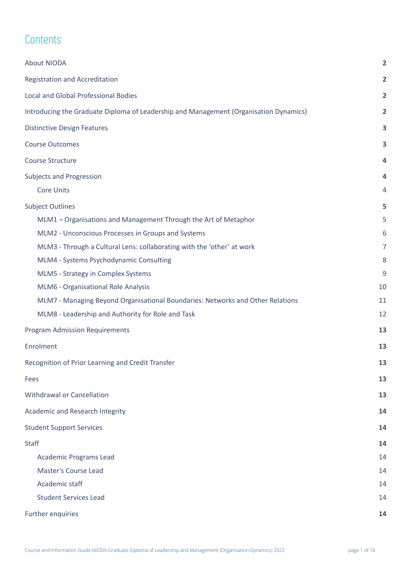# **Contents**

| About NIODA                                                                           | $\overline{2}$ |
|---------------------------------------------------------------------------------------|----------------|
| Registration and Accreditation                                                        | $\overline{2}$ |
| <b>Local and Global Professional Bodies</b>                                           | 2              |
| Introducing the Graduate Diploma of Leadership and Management (Organisation Dynamics) | 2              |
| <b>Distinctive Design Features</b>                                                    | 3              |
| <b>Course Outcomes</b>                                                                | 3              |
| <b>Course Structure</b>                                                               | 4              |
| <b>Subjects and Progression</b>                                                       | 4              |
| <b>Core Units</b>                                                                     | 4              |
| <b>Subject Outlines</b>                                                               | 5              |
| MLM1 - Organisations and Management Through the Art of Metaphor                       | 5              |
| MLM2 - Unconscious Processes in Groups and Systems                                    | 6              |
| MLM3 - Through a Cultural Lens: collaborating with the 'other' at work                | $\overline{7}$ |
| MLM4 - Systems Psychodynamic Consulting                                               | 8              |
| MLM5 - Strategy in Complex Systems                                                    | 9              |
| MLM6 - Organisational Role Analysis                                                   | 10             |
| MLM7 - Managing Beyond Organisational Boundaries: Networks and Other Relations        | 11             |
| MLM8 - Leadership and Authority for Role and Task                                     | 12             |
| <b>Program Admission Requirements</b>                                                 | 13             |
| Enrolment                                                                             | 13             |
| Recognition of Prior Learning and Credit Transfer                                     | 13             |
| Fees                                                                                  | 13             |
| Withdrawal or Cancellation                                                            | 13             |
| Academic and Research Integrity                                                       | 14             |
| <b>Student Support Services</b>                                                       | 14             |
| <b>Staff</b>                                                                          | 14             |
| <b>Academic Programs Lead</b>                                                         | 14             |
| Master's Course Lead                                                                  | 14             |
| Academic staff                                                                        | 14             |
| <b>Student Services Lead</b>                                                          | 14             |
| Further enquiries                                                                     | 14             |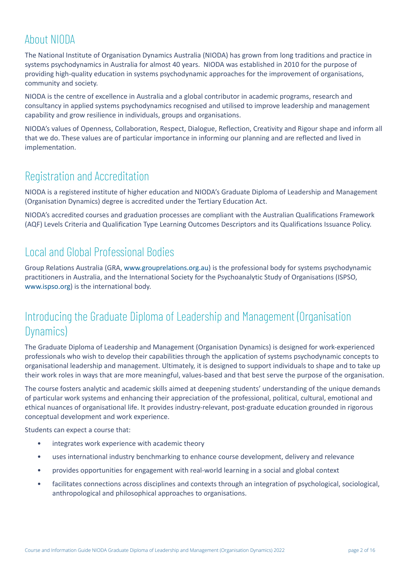# <span id="page-2-0"></span>About NIODA

The National Institute of Organisation Dynamics Australia (NIODA) has grown from long traditions and practice in systems psychodynamics in Australia for almost 40 years. NIODA was established in 2010 for the purpose of providing high-quality education in systems psychodynamic approaches for the improvement of organisations, community and society.

NIODA is the centre of excellence in Australia and a global contributor in academic programs, research and consultancy in applied systems psychodynamics recognised and utilised to improve leadership and management capability and grow resilience in individuals, groups and organisations.

NIODA's values of Openness, Collaboration, Respect, Dialogue, Reflection, Creativity and Rigour shape and inform all that we do. These values are of particular importance in informing our planning and are reflected and lived in implementation.

# <span id="page-2-1"></span>Registration and Accreditation

NIODA is a registered institute of higher education and NIODA's Graduate Diploma of Leadership and Management (Organisation Dynamics) degree is accredited under the Tertiary Education Act.

NIODA's accredited courses and graduation processes are compliant with the Australian Qualifications Framework (AQF) Levels Criteria and Qualification Type Learning Outcomes Descriptors and its Qualifications Issuance Policy.

## <span id="page-2-2"></span>Local and Global Professional Bodies

Group Relations Australia (GRA, [www.grouprelations.org.au\)](https://www.grouprelations.org.au/) is the professional body for systems psychodynamic practitioners in Australia, and the International Society for the Psychoanalytic Study of Organisations (ISPSO, [www.ispso.org\)](http://www.ispso.org) is the international body.

## <span id="page-2-3"></span>Introducing the Graduate Diploma of Leadership and Management (Organisation Dynamics)

The Graduate Diploma of Leadership and Management (Organisation Dynamics) is designed for work-experienced professionals who wish to develop their capabilities through the application of systems psychodynamic concepts to organisational leadership and management. Ultimately, it is designed to support individuals to shape and to take up their work roles in ways that are more meaningful, values-based and that best serve the purpose of the organisation.

The course fosters analytic and academic skills aimed at deepening students' understanding of the unique demands of particular work systems and enhancing their appreciation of the professional, political, cultural, emotional and ethical nuances of organisational life. It provides industry-relevant, post-graduate education grounded in rigorous conceptual development and work experience.

Students can expect a course that:

- integrates work experience with academic theory
- uses international industry benchmarking to enhance course development, delivery and relevance
- provides opportunities for engagement with real-world learning in a social and global context
- facilitates connections across disciplines and contexts through an integration of psychological, sociological, anthropological and philosophical approaches to organisations.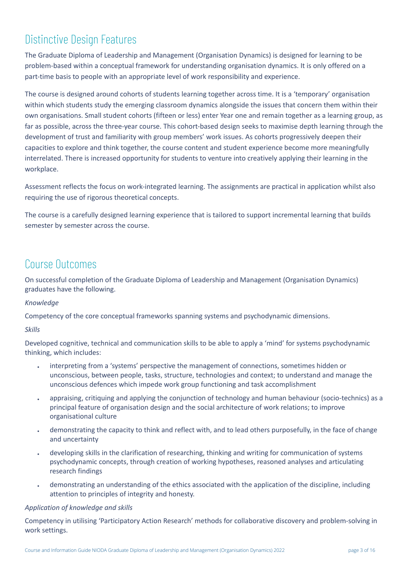# <span id="page-3-0"></span>Distinctive Design Features

The Graduate Diploma of Leadership and Management (Organisation Dynamics) is designed for learning to be problem-based within a conceptual framework for understanding organisation dynamics. It is only offered on a part-time basis to people with an appropriate level of work responsibility and experience.

The course is designed around cohorts of students learning together across time. It is a 'temporary' organisation within which students study the emerging classroom dynamics alongside the issues that concern them within their own organisations. Small student cohorts (fifteen or less) enter Year one and remain together as a learning group, as far as possible, across the three-year course. This cohort-based design seeks to maximise depth learning through the development of trust and familiarity with group members' work issues. As cohorts progressively deepen their capacities to explore and think together, the course content and student experience become more meaningfully interrelated. There is increased opportunity for students to venture into creatively applying their learning in the workplace.

Assessment reflects the focus on work-integrated learning. The assignments are practical in application whilst also requiring the use of rigorous theoretical concepts.

The course is a carefully designed learning experience that is tailored to support incremental learning that builds semester by semester across the course.

### <span id="page-3-1"></span>Course Outcomes

On successful completion of the Graduate Diploma of Leadership and Management (Organisation Dynamics) graduates have the following.

### *Knowledge*

Competency of the core conceptual frameworks spanning systems and psychodynamic dimensions.

#### *Skills*

Developed cognitive, technical and communication skills to be able to apply a 'mind' for systems psychodynamic thinking, which includes:

- interpreting from a 'systems' perspective the management of connections, sometimes hidden or unconscious, between people, tasks, structure, technologies and context; to understand and manage the unconscious defences which impede work group functioning and task accomplishment
- appraising, critiquing and applying the conjunction of technology and human behaviour (socio-technics) as a principal feature of organisation design and the social architecture of work relations; to improve organisational culture
- demonstrating the capacity to think and reflect with, and to lead others purposefully, in the face of change and uncertainty
- developing skills in the clarification of researching, thinking and writing for communication of systems psychodynamic concepts, through creation of working hypotheses, reasoned analyses and articulating research findings
- demonstrating an understanding of the ethics associated with the application of the discipline, including attention to principles of integrity and honesty.

### *Application of knowledge and skills*

Competency in utilising 'Participatory Action Research' methods for collaborative discovery and problem-solving in work settings.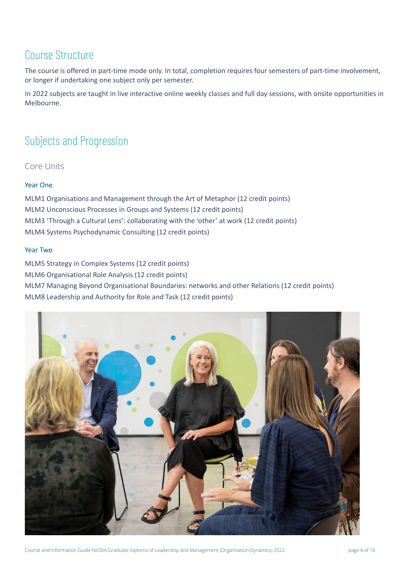## <span id="page-4-0"></span>Course Structure

The course is offered in part-time mode only. In total, completion requires four semesters of part-time involvement, or longer if undertaking one subject only per semester.

In 2022 subjects are taught in live interactive online weekly classes and full day sessions, with onsite opportunities in Melbourne.

# <span id="page-4-1"></span>Subjects and Progression

<span id="page-4-2"></span>Core Units

### Year One

MLM1 Organisations and Management through the Art of Metaphor (12 credit points) MLM2 Unconscious Processes in Groups and Systems (12 credit points) MLM3 'Through a Cultural Lens': collaborating with the 'other' at work (12 credit points) MLM4 Systems Psychodynamic Consulting (12 credit points)

### Year Two

MLM5 Strategy in Complex Systems (12 credit points) MLM6 Organisational Role Analysis (12 credit points) MLM7 Managing Beyond Organisational Boundaries: networks and other Relations (12 credit points) MLM8 Leadership and Authority for Role and Task (12 credit points)

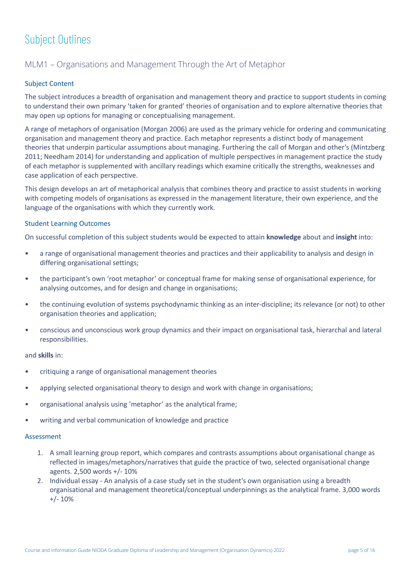# <span id="page-5-0"></span>Subject Outlines

### <span id="page-5-1"></span>MLM1 – Organisations and Management Through the Art of Metaphor

### Subject Content

The subject introduces a breadth of organisation and management theory and practice to support students in coming to understand their own primary 'taken for granted' theories of organisation and to explore alternative theories that may open up options for managing or conceptualising management.

A range of metaphors of organisation (Morgan 2006) are used as the primary vehicle for ordering and communicating organisation and management theory and practice. Each metaphor represents a distinct body of management theories that underpin particular assumptions about managing. Furthering the call of Morgan and other's (Mintzberg 2011; Needham 2014) for understanding and application of multiple perspectives in management practice the study of each metaphor is supplemented with ancillary readings which examine critically the strengths, weaknesses and case application of each perspective.

This design develops an art of metaphorical analysis that combines theory and practice to assist students in working with competing models of organisations as expressed in the management literature, their own experience, and the language of the organisations with which they currently work.

#### Student Learning Outcomes

On successful completion of this subject students would be expected to attain **knowledge** about and **insight** into:

- a range of organisational management theories and practices and their applicability to analysis and design in differing organisational settings;
- the participant's own 'root metaphor' or conceptual frame for making sense of organisational experience, for analysing outcomes, and for design and change in organisations;
- the continuing evolution of systems psychodynamic thinking as an inter-discipline; its relevance (or not) to other organisation theories and application;
- conscious and unconscious work group dynamics and their impact on organisational task, hierarchal and lateral responsibilities.

#### and **skills** in:

- critiquing a range of organisational management theories
- applying selected organisational theory to design and work with change in organisations;
- organisational analysis using 'metaphor' as the analytical frame;
- writing and verbal communication of knowledge and practice

- 1. A small learning group report, which compares and contrasts assumptions about organisational change as reflected in images/metaphors/narratives that guide the practice of two, selected organisational change agents. 2,500 words +/- 10%
- 2. Individual essay An analysis of a case study set in the student's own organisation using a breadth organisational and management theoretical/conceptual underpinnings as the analytical frame. 3,000 words  $+/- 10%$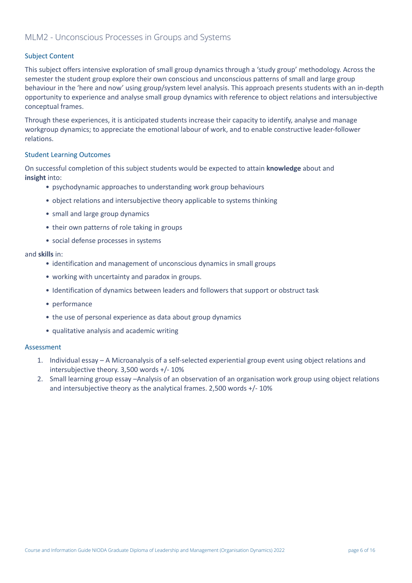### <span id="page-6-0"></span>MLM2 - Unconscious Processes in Groups and Systems

### Subject Content

This subject offers intensive exploration of small group dynamics through a 'study group' methodology. Across the semester the student group explore their own conscious and unconscious patterns of small and large group behaviour in the 'here and now' using group/system level analysis. This approach presents students with an in-depth opportunity to experience and analyse small group dynamics with reference to object relations and intersubjective conceptual frames.

Through these experiences, it is anticipated students increase their capacity to identify, analyse and manage workgroup dynamics; to appreciate the emotional labour of work, and to enable constructive leader-follower relations.

#### Student Learning Outcomes

On successful completion of this subject students would be expected to attain **knowledge** about and **insight** into:

- psychodynamic approaches to understanding work group behaviours
- object relations and intersubjective theory applicable to systems thinking
- small and large group dynamics
- their own patterns of role taking in groups
- social defense processes in systems

#### and **skills** in:

- identification and management of unconscious dynamics in small groups
- working with uncertainty and paradox in groups.
- Identification of dynamics between leaders and followers that support or obstruct task
- performance
- the use of personal experience as data about group dynamics
- qualitative analysis and academic writing

- 1. Individual essay A Microanalysis of a self-selected experiential group event using object relations and intersubjective theory. 3,500 words +/- 10%
- 2. Small learning group essay –Analysis of an observation of an organisation work group using object relations and intersubjective theory as the analytical frames. 2,500 words +/- 10%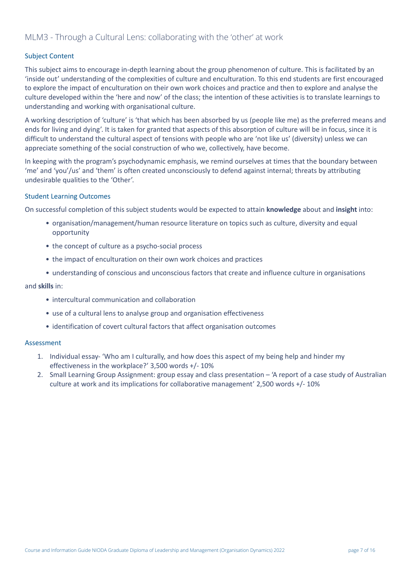### <span id="page-7-0"></span>Subject Content

This subject aims to encourage in-depth learning about the group phenomenon of culture. This is facilitated by an 'inside out' understanding of the complexities of culture and enculturation. To this end students are first encouraged to explore the impact of enculturation on their own work choices and practice and then to explore and analyse the culture developed within the 'here and now' of the class; the intention of these activities is to translate learnings to understanding and working with organisational culture.

A working description of 'culture' is 'that which has been absorbed by us (people like me) as the preferred means and ends for living and dying'. It is taken for granted that aspects of this absorption of culture will be in focus, since it is difficult to understand the cultural aspect of tensions with people who are 'not like us' (diversity) unless we can appreciate something of the social construction of who we, collectively, have become.

In keeping with the program's psychodynamic emphasis, we remind ourselves at times that the boundary between 'me' and 'you'/us' and 'them' is often created unconsciously to defend against internal; threats by attributing undesirable qualities to the 'Other'.

#### Student Learning Outcomes

On successful completion of this subject students would be expected to attain **knowledge** about and **insight** into:

- organisation/management/human resource literature on topics such as culture, diversity and equal opportunity
- the concept of culture as a psycho-social process
- the impact of enculturation on their own work choices and practices
- understanding of conscious and unconscious factors that create and influence culture in organisations

#### and **skills** in:

- intercultural communication and collaboration
- use of a cultural lens to analyse group and organisation effectiveness
- identification of covert cultural factors that affect organisation outcomes

- 1. Individual essay- 'Who am I culturally, and how does this aspect of my being help and hinder my effectiveness in the workplace?' 3,500 words +/- 10%
- 2. Small Learning Group Assignment: group essay and class presentation 'A report of a case study of Australian culture at work and its implications for collaborative management' 2,500 words +/- 10%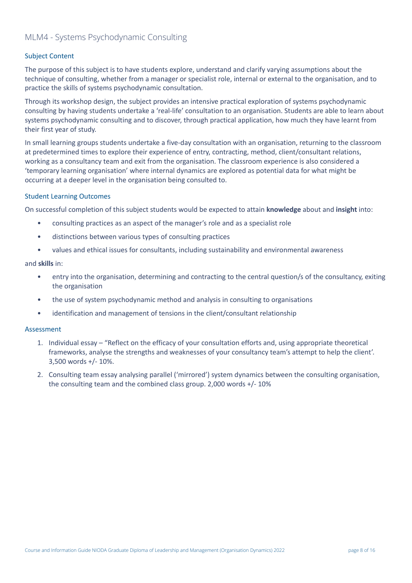### <span id="page-8-0"></span>MLM4 - Systems Psychodynamic Consulting

### Subject Content

The purpose of this subject is to have students explore, understand and clarify varying assumptions about the technique of consulting, whether from a manager or specialist role, internal or external to the organisation, and to practice the skills of systems psychodynamic consultation.

Through its workshop design, the subject provides an intensive practical exploration of systems psychodynamic consulting by having students undertake a 'real-life' consultation to an organisation. Students are able to learn about systems psychodynamic consulting and to discover, through practical application, how much they have learnt from their first year of study.

In small learning groups students undertake a five-day consultation with an organisation, returning to the classroom at predetermined times to explore their experience of entry, contracting, method, client/consultant relations, working as a consultancy team and exit from the organisation. The classroom experience is also considered a 'temporary learning organisation' where internal dynamics are explored as potential data for what might be occurring at a deeper level in the organisation being consulted to.

#### Student Learning Outcomes

On successful completion of this subject students would be expected to attain **knowledge** about and **insight** into:

- consulting practices as an aspect of the manager's role and as a specialist role
- distinctions between various types of consulting practices
- values and ethical issues for consultants, including sustainability and environmental awareness

#### and **skills** in:

- entry into the organisation, determining and contracting to the central question/s of the consultancy, exiting the organisation
- the use of system psychodynamic method and analysis in consulting to organisations
- identification and management of tensions in the client/consultant relationship

- 1. Individual essay "Reflect on the efficacy of your consultation efforts and, using appropriate theoretical frameworks, analyse the strengths and weaknesses of your consultancy team's attempt to help the client'. 3,500 words +/- 10%.
- 2. Consulting team essay analysing parallel ('mirrored') system dynamics between the consulting organisation, the consulting team and the combined class group. 2,000 words +/- 10%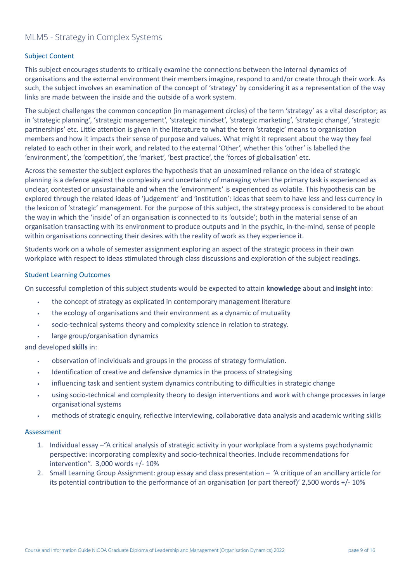### <span id="page-9-0"></span>MLM5 - Strategy in Complex Systems

### Subject Content

This subject encourages students to critically examine the connections between the internal dynamics of organisations and the external environment their members imagine, respond to and/or create through their work. As such, the subject involves an examination of the concept of 'strategy' by considering it as a representation of the way links are made between the inside and the outside of a work system.

The subject challenges the common conception (in management circles) of the term 'strategy' as a vital descriptor; as in 'strategic planning', 'strategic management', 'strategic mindset', 'strategic marketing', 'strategic change', 'strategic partnerships' etc. Little attention is given in the literature to what the term 'strategic' means to organisation members and how it impacts their sense of purpose and values. What might it represent about the way they feel related to each other in their work, and related to the external 'Other', whether this 'other' is labelled the 'environment', the 'competition', the 'market', 'best practice', the 'forces of globalisation' etc.

Across the semester the subject explores the hypothesis that an unexamined reliance on the idea of strategic planning is a defence against the complexity and uncertainty of managing when the primary task is experienced as unclear, contested or unsustainable and when the 'environment' is experienced as volatile. This hypothesis can be explored through the related ideas of 'judgement' and 'institution': ideas that seem to have less and less currency in the lexicon of 'strategic' management. For the purpose of this subject, the strategy process is considered to be about the way in which the 'inside' of an organisation is connected to its 'outside'; both in the material sense of an organisation transacting with its environment to produce outputs and in the psychic, in-the-mind, sense of people within organisations connecting their desires with the reality of work as they experience it.

Students work on a whole of semester assignment exploring an aspect of the strategic process in their own workplace with respect to ideas stimulated through class discussions and exploration of the subject readings.

#### Student Learning Outcomes

On successful completion of this subject students would be expected to attain **knowledge** about and **insight** into:

- the concept of strategy as explicated in contemporary management literature
- the ecology of organisations and their environment as a dynamic of mutuality
- socio-technical systems theory and complexity science in relation to strategy.
- large group/organisation dynamics

and developed **skills** in:

- observation of individuals and groups in the process of strategy formulation.
- Identification of creative and defensive dynamics in the process of strategising
- influencing task and sentient system dynamics contributing to difficulties in strategic change
- using socio-technical and complexity theory to design interventions and work with change processes in large organisational systems
- methods of strategic enquiry, reflective interviewing, collaborative data analysis and academic writing skills

- 1. Individual essay –"A critical analysis of strategic activity in your workplace from a systems psychodynamic perspective: incorporating complexity and socio-technical theories. Include recommendations for intervention". 3,000 words +/- 10%
- 2. Small Learning Group Assignment: group essay and class presentation 'A critique of an ancillary article for its potential contribution to the performance of an organisation (or part thereof)' 2,500 words +/- 10%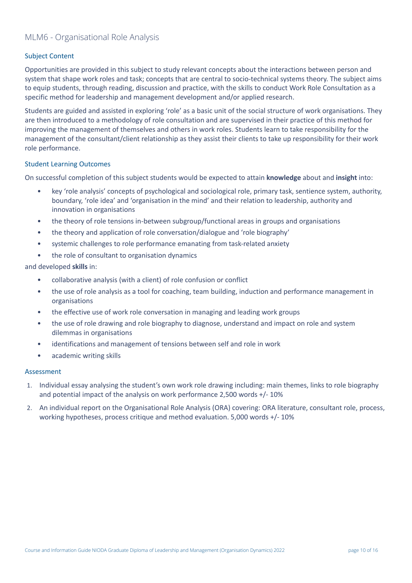### <span id="page-10-0"></span>MLM6 - Organisational Role Analysis

### Subject Content

Opportunities are provided in this subject to study relevant concepts about the interactions between person and system that shape work roles and task; concepts that are central to socio-technical systems theory. The subject aims to equip students, through reading, discussion and practice, with the skills to conduct Work Role Consultation as a specific method for leadership and management development and/or applied research.

Students are guided and assisted in exploring 'role' as a basic unit of the social structure of work organisations. They are then introduced to a methodology of role consultation and are supervised in their practice of this method for improving the management of themselves and others in work roles. Students learn to take responsibility for the management of the consultant/client relationship as they assist their clients to take up responsibility for their work role performance.

#### Student Learning Outcomes

On successful completion of this subject students would be expected to attain **knowledge** about and **insight** into:

- key 'role analysis' concepts of psychological and sociological role, primary task, sentience system, authority, boundary, 'role idea' and 'organisation in the mind' and their relation to leadership, authority and innovation in organisations
- the theory of role tensions in-between subgroup/functional areas in groups and organisations
- the theory and application of role conversation/dialogue and 'role biography'
- systemic challenges to role performance emanating from task-related anxiety
- the role of consultant to organisation dynamics

and developed **skills** in:

- collaborative analysis (with a client) of role confusion or conflict
- the use of role analysis as a tool for coaching, team building, induction and performance management in organisations
- the effective use of work role conversation in managing and leading work groups
- the use of role drawing and role biography to diagnose, understand and impact on role and system dilemmas in organisations
- identifications and management of tensions between self and role in work
- academic writing skills

- 1. Individual essay analysing the student's own work role drawing including: main themes, links to role biography and potential impact of the analysis on work performance 2,500 words +/- 10%
- 2. An individual report on the Organisational Role Analysis (ORA) covering: ORA literature, consultant role, process, working hypotheses, process critique and method evaluation. 5,000 words +/- 10%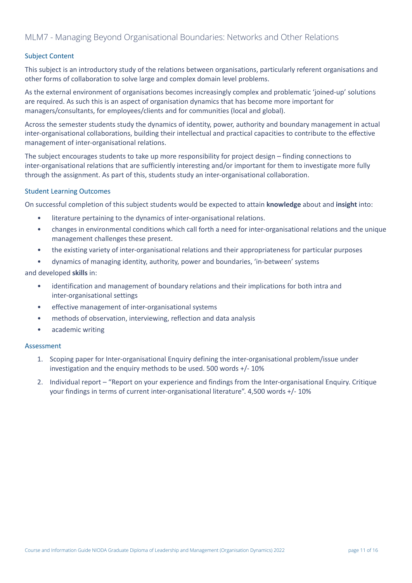### <span id="page-11-0"></span>Subject Content

This subject is an introductory study of the relations between organisations, particularly referent organisations and other forms of collaboration to solve large and complex domain level problems.

As the external environment of organisations becomes increasingly complex and problematic 'joined-up' solutions are required. As such this is an aspect of organisation dynamics that has become more important for managers/consultants, for employees/clients and for communities (local and global).

Across the semester students study the dynamics of identity, power, authority and boundary management in actual inter-organisational collaborations, building their intellectual and practical capacities to contribute to the effective management of inter-organisational relations.

The subject encourages students to take up more responsibility for project design – finding connections to inter-organisational relations that are sufficiently interesting and/or important for them to investigate more fully through the assignment. As part of this, students study an inter-organisational collaboration.

#### Student Learning Outcomes

On successful completion of this subject students would be expected to attain **knowledge** about and **insight** into:

- literature pertaining to the dynamics of inter-organisational relations.
- changes in environmental conditions which call forth a need for inter-organisational relations and the unique management challenges these present.
- the existing variety of inter-organisational relations and their appropriateness for particular purposes
- dynamics of managing identity, authority, power and boundaries, 'in-between' systems

#### and developed **skills** in:

- identification and management of boundary relations and their implications for both intra and inter-organisational settings
- effective management of inter-organisational systems
- methods of observation, interviewing, reflection and data analysis
- academic writing

- 1. Scoping paper for Inter-organisational Enquiry defining the inter-organisational problem/issue under investigation and the enquiry methods to be used. 500 words +/- 10%
- 2. Individual report "Report on your experience and findings from the Inter-organisational Enquiry. Critique your findings in terms of current inter-organisational literature". 4,500 words +/- 10%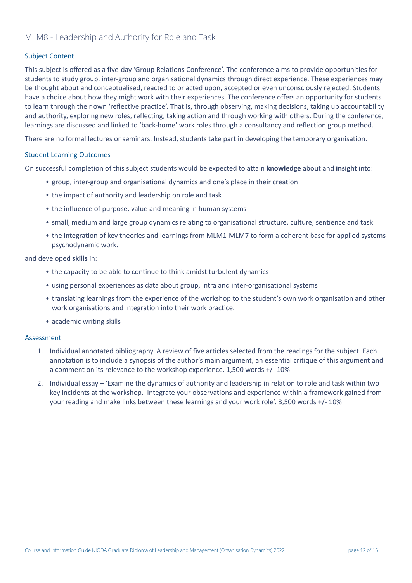### <span id="page-12-0"></span>MLM8 - Leadership and Authority for Role and Task

### Subject Content

This subject is offered as a five-day 'Group Relations Conference'. The conference aims to provide opportunities for students to study group, inter-group and organisational dynamics through direct experience. These experiences may be thought about and conceptualised, reacted to or acted upon, accepted or even unconsciously rejected. Students have a choice about how they might work with their experiences. The conference offers an opportunity for students to learn through their own 'reflective practice'. That is, through observing, making decisions, taking up accountability and authority, exploring new roles, reflecting, taking action and through working with others. During the conference, learnings are discussed and linked to 'back-home' work roles through a consultancy and reflection group method.

There are no formal lectures or seminars. Instead, students take part in developing the temporary organisation.

#### Student Learning Outcomes

On successful completion of this subject students would be expected to attain **knowledge** about and **insight** into:

- group, inter-group and organisational dynamics and one's place in their creation
- the impact of authority and leadership on role and task
- the influence of purpose, value and meaning in human systems
- small, medium and large group dynamics relating to organisational structure, culture, sentience and task
- the integration of key theories and learnings from MLM1-MLM7 to form a coherent base for applied systems psychodynamic work.

and developed **skills** in:

- the capacity to be able to continue to think amidst turbulent dynamics
- using personal experiences as data about group, intra and inter-organisational systems
- translating learnings from the experience of the workshop to the student's own work organisation and other work organisations and integration into their work practice.
- academic writing skills

- 1. Individual annotated bibliography. A review of five articles selected from the readings for the subject. Each annotation is to include a synopsis of the author's main argument, an essential critique of this argument and a comment on its relevance to the workshop experience. 1,500 words +/- 10%
- 2. Individual essay 'Examine the dynamics of authority and leadership in relation to role and task within two key incidents at the workshop. Integrate your observations and experience within a framework gained from your reading and make links between these learnings and your work role'. 3,500 words +/- 10%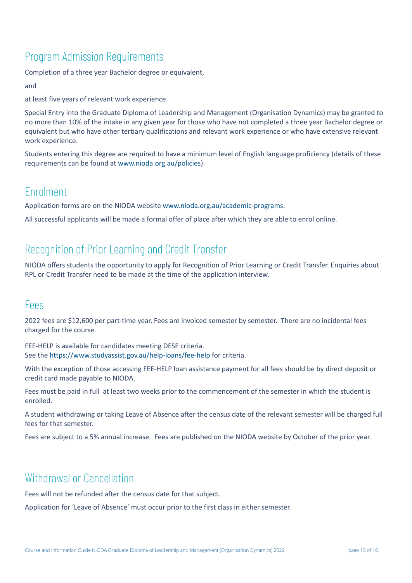# <span id="page-13-0"></span>Program Admission Requirements

Completion of a three year Bachelor degree or equivalent,

and

at least five years of relevant work experience.

Special Entry into the Graduate Diploma of Leadership and Management (Organisation Dynamics) may be granted to no more than 10% of the intake in any given year for those who have not completed a three year Bachelor degree or equivalent but who have other tertiary qualifications and relevant work experience or who have extensive relevant work experience.

Students entering this degree are required to have a minimum level of English language proficiency (details of these requirements can be found at [www.nioda.org.au/policies\)](http://www.nioda.org.au/policies).

### <span id="page-13-1"></span>Enrolment

Application forms are on the NIODA website [www.nioda.org.au/academic-programs.](http://www.nioda.org.au/acadmic-programs)

All successful applicants will be made a formal offer of place after which they are able to enrol online.

## <span id="page-13-2"></span>Recognition of Prior Learning and Credit Transfer

NIODA offers students the opportunity to apply for Recognition of Prior Learning or Credit Transfer. Enquiries about RPL or Credit Transfer need to be made at the time of the application interview.

### <span id="page-13-3"></span>Fees

2022 fees are \$12,600 per part-time year. Fees are invoiced semester by semester. There are no incidental fees charged for the course.

FEE-HELP is available for candidates meeting DESE criteria. See the <https://www.studyassist.gov.au/help-loans/fee-help> for criteria.

With the exception of those accessing FEE-HELP loan assistance payment for all fees should be by direct deposit or credit card made payable to NIODA.

Fees must be paid in full at least two weeks prior to the commencement of the semester in which the student is enrolled.

A student withdrawing or taking Leave of Absence after the census date of the relevant semester will be charged full fees for that semester.

Fees are subject to a 5% annual increase. Fees are published on the NIODA website by October of the prior year.

## <span id="page-13-4"></span>Withdrawal or Cancellation

Fees will not be refunded after the census date for that subject.

Application for 'Leave of Absence' must occur prior to the first class in either semester.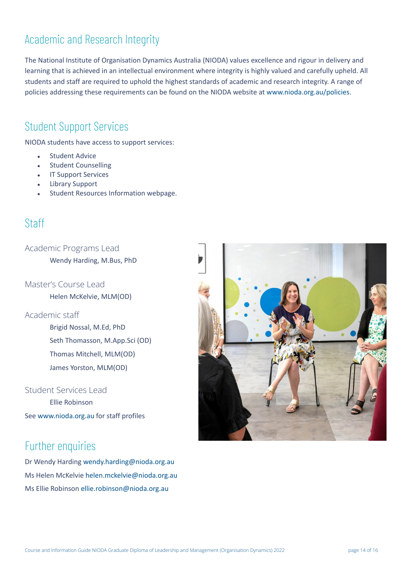# <span id="page-14-0"></span>Academic and Research Integrity

The National Institute of Organisation Dynamics Australia (NIODA) values excellence and rigour in delivery and learning that is achieved in an intellectual environment where integrity is highly valued and carefully upheld. All students and staff are required to uphold the highest standards of academic and research integrity. A range of policies addressing these requirements can be found on the NIODA website at [www.nioda.org.au/policies.](http://www.nioda.org.au/policies)

### <span id="page-14-1"></span>Student Support Services

NIODA students have access to support services:

- **Student Advice**
- **Student Counselling**
- **IT Support Services**
- **Library Support**
- Student Resources Information webpage.

## <span id="page-14-2"></span>Staff

<span id="page-14-3"></span>Academic Programs Lead

Wendy Harding, M.Bus, PhD

<span id="page-14-4"></span>Master's Course Lead Helen McKelvie, MLM(OD)

### <span id="page-14-5"></span>Academic staff

Brigid Nossal, M.Ed, PhD Seth Thomasson, M.App.Sci (OD) Thomas Mitchell, MLM(OD) James Yorston, MLM(OD)

### <span id="page-14-6"></span>Student Services Lead

Ellie Robinson See [www.nioda.org.au](http://www.nioda.org.au) for staff profiles

## <span id="page-14-7"></span>Further enquiries

Dr Wendy Harding [wendy.harding@nioda.org.au](mailto:wendy.harding@nioda.org.au) Ms Helen McKelvie [helen.mckelvie@nioda.org.au](mailto:helen.mckelvie@nioda.org.au) Ms Ellie Robinson [ellie.robinson@nioda.org.au](mailto:ellie.robinson@nioda.org.au)